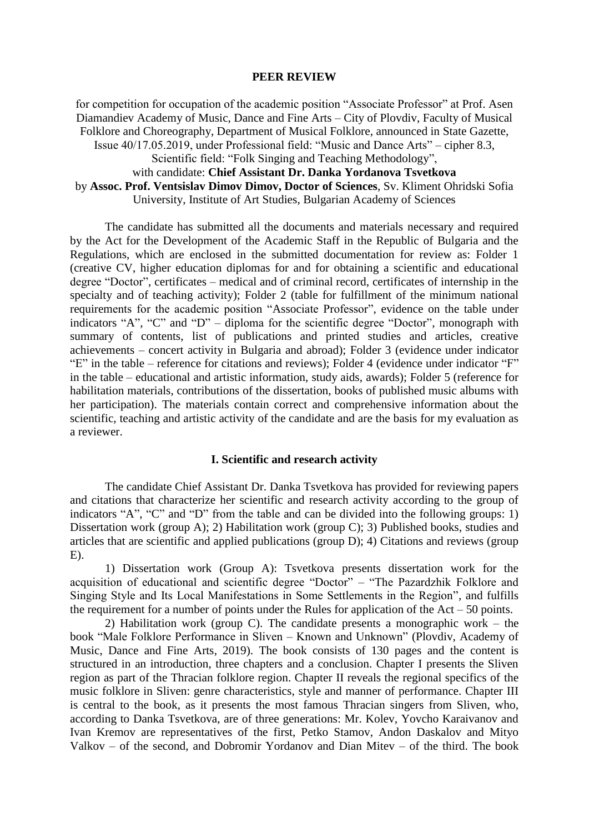#### **PEER REVIEW**

for competition for occupation of the academic position "Associate Professor" at Prof. Asen Diamandiev Academy of Music, Dance and Fine Arts – City of Plovdiv, Faculty of Musical Folklore and Choreography, Department of Musical Folklore, announced in State Gazette,

Issue 40/17.05.2019, under Professional field: "Music and Dance Arts" – cipher 8.3,

Scientific field: "Folk Singing and Teaching Methodology",

# with candidate: **Chief Assistant Dr. Danka Yordanova Tsvetkova**

by **Assoc. Prof. Ventsislav Dimov Dimov, Doctor of Sciences**, Sv. Kliment Ohridski Sofia University, Institute of Art Studies, Bulgarian Academy of Sciences

The candidate has submitted all the documents and materials necessary and required by the Act for the Development of the Academic Staff in the Republic of Bulgaria and the Regulations, which are enclosed in the submitted documentation for review as: Folder 1 (creative CV, higher education diplomas for and for obtaining a scientific and educational degree "Doctor", certificates – medical and of criminal record, certificates of internship in the specialty and of teaching activity); Folder 2 (table for fulfillment of the minimum national requirements for the academic position "Associate Professor", evidence on the table under indicators "A", "C" and "D" – diploma for the scientific degree "Doctor", monograph with summary of contents, list of publications and printed studies and articles, creative achievements – concert activity in Bulgaria and abroad); Folder 3 (evidence under indicator "E" in the table – reference for citations and reviews); Folder 4 (evidence under indicator "F" in the table – educational and artistic information, study aids, awards); Folder 5 (reference for habilitation materials, contributions of the dissertation, books of published music albums with her participation). The materials contain correct and comprehensive information about the scientific, teaching and artistic activity of the candidate and are the basis for my evaluation as a reviewer.

# **I. Scientific and research activity**

The candidate Chief Assistant Dr. Danka Tsvetkova has provided for reviewing papers and citations that characterize her scientific and research activity according to the group of indicators "A", "C" and "D" from the table and can be divided into the following groups: 1) Dissertation work (group A); 2) Habilitation work (group C); 3) Published books, studies and articles that are scientific and applied publications (group D); 4) Citations and reviews (group  $E$ ).

1) Dissertation work (Group A): Tsvetkova presents dissertation work for the acquisition of educational and scientific degree "Doctor" – "The Pazardzhik Folklore and Singing Style and Its Local Manifestations in Some Settlements in the Region", and fulfills the requirement for a number of points under the Rules for application of the  $Act - 50$  points.

2) Habilitation work (group C). The candidate presents a monographic work – the book "Male Folklore Performance in Sliven – Known and Unknown" (Plovdiv, Academy of Music, Dance and Fine Arts, 2019). The book consists of 130 pages and the content is structured in an introduction, three chapters and a conclusion. Chapter I presents the Sliven region as part of the Thracian folklore region. Chapter II reveals the regional specifics of the music folklore in Sliven: genre characteristics, style and manner of performance. Chapter III is central to the book, as it presents the most famous Thracian singers from Sliven, who, according to Danka Tsvetkova, are of three generations: Mr. Kolev, Yovcho Karaivanov and Ivan Kremov are representatives of the first, Petko Stamov, Andon Daskalov and Mityo Valkov – of the second, and Dobromir Yordanov and Dian Mitev – of the third. The book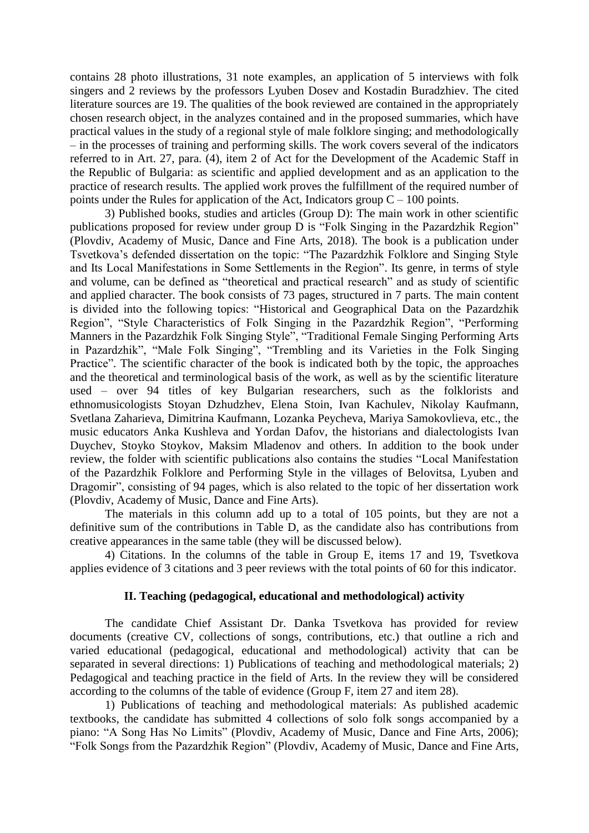contains 28 photo illustrations, 31 note examples, an application of 5 interviews with folk singers and 2 reviews by the professors Lyuben Dosev and Kostadin Buradzhiev. The cited literature sources are 19. The qualities of the book reviewed are contained in the appropriately chosen research object, in the analyzes contained and in the proposed summaries, which have practical values in the study of a regional style of male folklore singing; and methodologically – in the processes of training and performing skills. The work covers several of the indicators referred to in Art. 27, para. (4), item 2 of Act for the Development of the Academic Staff in the Republic of Bulgaria: as scientific and applied development and as an application to the practice of research results. The applied work proves the fulfillment of the required number of points under the Rules for application of the Act, Indicators group  $C - 100$  points.

3) Published books, studies and articles (Group D): The main work in other scientific publications proposed for review under group D is "Folk Singing in the Pazardzhik Region" (Plovdiv, Academy of Music, Dance and Fine Arts, 2018). The book is a publication under Tsvetkova's defended dissertation on the topic: "The Pazardzhik Folklore and Singing Style and Its Local Manifestations in Some Settlements in the Region". Its genre, in terms of style and volume, can be defined as "theoretical and practical research" and as study of scientific and applied character. The book consists of 73 pages, structured in 7 parts. The main content is divided into the following topics: "Historical and Geographical Data on the Pazardzhik Region", "Style Characteristics of Folk Singing in the Pazardzhik Region", "Performing Manners in the Pazardzhik Folk Singing Style", "Traditional Female Singing Performing Arts in Pazardzhik", "Male Folk Singing", "Trembling and its Varieties in the Folk Singing Practice". The scientific character of the book is indicated both by the topic, the approaches and the theoretical and terminological basis of the work, as well as by the scientific literature used – over 94 titles of key Bulgarian researchers, such as the folklorists and ethnomusicologists Stoyan Dzhudzhev, Elena Stoin, Ivan Kachulev, Nikolay Kaufmann, Svetlana Zaharieva, Dimitrina Kaufmann, Lozanka Peycheva, Mariya Samokovlieva, etc., the music educators Anka Kushleva and Yordan Dafov, the historians and dialectologists Ivan Duychev, Stoyko Stoykov, Maksim Mladenov and others. In addition to the book under review, the folder with scientific publications also contains the studies "Local Manifestation of the Pazardzhik Folklore and Performing Style in the villages of Belovitsa, Lyuben and Dragomir", consisting of 94 pages, which is also related to the topic of her dissertation work (Plovdiv, Academy of Music, Dance and Fine Arts).

The materials in this column add up to a total of 105 points, but they are not a definitive sum of the contributions in Table D, as the candidate also has contributions from creative appearances in the same table (they will be discussed below).

4) Citations. In the columns of the table in Group E, items 17 and 19, Tsvetkova applies evidence of 3 citations and 3 peer reviews with the total points of 60 for this indicator.

## **II. Teaching (pedagogical, educational and methodological) activity**

The candidate Chief Assistant Dr. Danka Tsvetkova has provided for review documents (creative CV, collections of songs, contributions, etc.) that outline a rich and varied educational (pedagogical, educational and methodological) activity that can be separated in several directions: 1) Publications of teaching and methodological materials; 2) Pedagogical and teaching practice in the field of Arts. In the review they will be considered according to the columns of the table of evidence (Group F, item 27 and item 28).

1) Publications of teaching and methodological materials: As published academic textbooks, the candidate has submitted 4 collections of solo folk songs accompanied by a piano: "A Song Has No Limits" (Plovdiv, Academy of Music, Dance and Fine Arts, 2006); "Folk Songs from the Pazardzhik Region" (Plovdiv, Academy of Music, Dance and Fine Arts,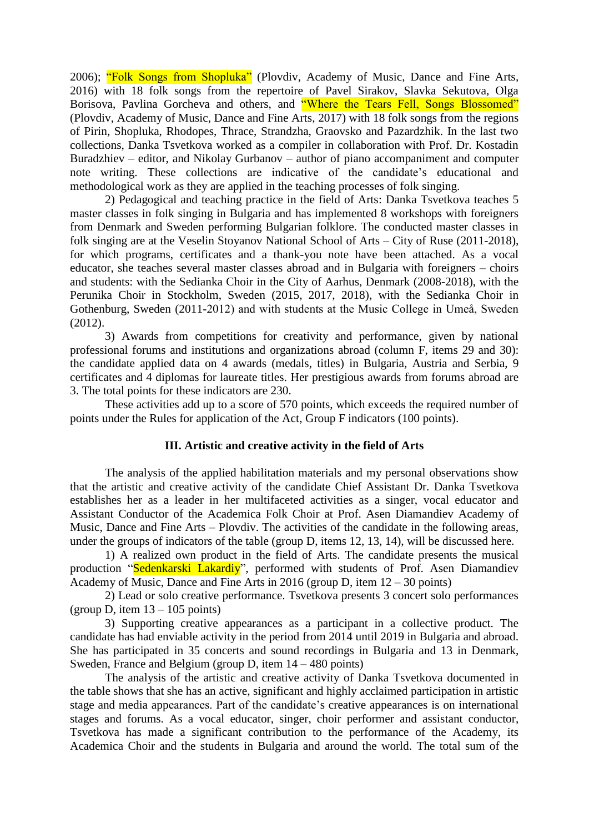2006); "Folk Songs from Shopluka" (Plovdiv, Academy of Music, Dance and Fine Arts, 2016) with 18 folk songs from the repertoire of Pavel Sirakov, Slavka Sekutova, Olga Borisova, Pavlina Gorcheva and others, and "Where the Tears Fell, Songs Blossomed" (Plovdiv, Academy of Music, Dance and Fine Arts, 2017) with 18 folk songs from the regions of Pirin, Shopluka, Rhodopes, Thrace, Strandzha, Graovsko and Pazardzhik. In the last two collections, Danka Tsvetkova worked as a compiler in collaboration with Prof. Dr. Kostadin Buradzhiev – editor, and Nikolay Gurbanov – author of piano accompaniment and computer note writing. These collections are indicative of the candidate's educational and methodological work as they are applied in the teaching processes of folk singing.

2) Pedagogical and teaching practice in the field of Arts: Danka Tsvetkova teaches 5 master classes in folk singing in Bulgaria and has implemented 8 workshops with foreigners from Denmark and Sweden performing Bulgarian folklore. The conducted master classes in folk singing are at the Veselin Stoyanov National School of Arts – City of Ruse (2011-2018), for which programs, certificates and a thank-you note have been attached. As a vocal educator, she teaches several master classes abroad and in Bulgaria with foreigners – choirs and students: with the Sedianka Choir in the City of Aarhus, Denmark (2008-2018), with the Perunika Choir in Stockholm, Sweden (2015, 2017, 2018), with the Sedianka Choir in Gothenburg, Sweden (2011-2012) and with students at the Music College in Umeå, Sweden (2012).

3) Awards from competitions for creativity and performance, given by national professional forums and institutions and organizations abroad (column F, items 29 and 30): the candidate applied data on 4 awards (medals, titles) in Bulgaria, Austria and Serbia, 9 certificates and 4 diplomas for laureate titles. Her prestigious awards from forums abroad are 3. The total points for these indicators are 230.

These activities add up to a score of 570 points, which exceeds the required number of points under the Rules for application of the Act, Group F indicators (100 points).

#### **III. Artistic and creative activity in the field of Arts**

The analysis of the applied habilitation materials and my personal observations show that the artistic and creative activity of the candidate Chief Assistant Dr. Danka Tsvetkova establishes her as a leader in her multifaceted activities as a singer, vocal educator and Assistant Conductor of the Academica Folk Choir at Prof. Asen Diamandiev Academy of Music, Dance and Fine Arts – Plovdiv. The activities of the candidate in the following areas, under the groups of indicators of the table (group D, items 12, 13, 14), will be discussed here.

1) A realized own product in the field of Arts. The candidate presents the musical production "Sedenkarski Lakardiy", performed with students of Prof. Asen Diamandiev Academy of Music, Dance and Fine Arts in 2016 (group D, item 12 – 30 points)

2) Lead or solo creative performance. Tsvetkova presents 3 concert solo performances (group D, item  $13 - 105$  points)

3) Supporting creative appearances as a participant in a collective product. The candidate has had enviable activity in the period from 2014 until 2019 in Bulgaria and abroad. She has participated in 35 concerts and sound recordings in Bulgaria and 13 in Denmark, Sweden, France and Belgium (group D, item 14 – 480 points)

The analysis of the artistic and creative activity of Danka Tsvetkova documented in the table shows that she has an active, significant and highly acclaimed participation in artistic stage and media appearances. Part of the candidate's creative appearances is on international stages and forums. As a vocal educator, singer, choir performer and assistant conductor, Tsvetkova has made a significant contribution to the performance of the Academy, its Academica Choir and the students in Bulgaria and around the world. The total sum of the